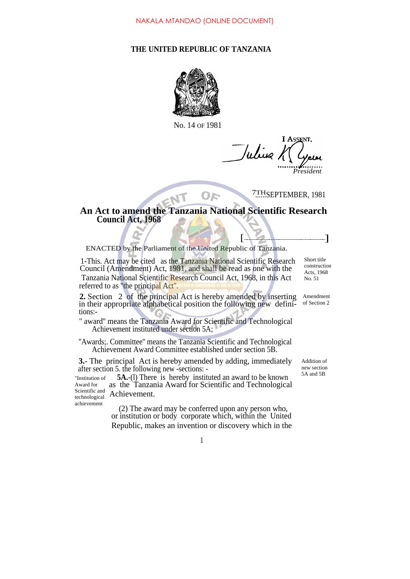## **THE UNITED REPUBLIC OF TANZANIA**



No. 14 OF 1981

**I ASSENT** Julius 1 *President*

7THSEPTEMBER, 1981

 $[$ 

## **An Act to amend the Tanzania National Scientific Research Council Act, 1968**

 $O E$ 

ENACTED by the Parliament of the United Republic of Tanzania.

1-This. Act may be cited as the Tanzania National Scientific Research Council (Amendment) Act, 1981, and shall be read as one with the Tanzania National Scientific Research Council Act, 1968, in this Act referred to as "the principal Act".

**2.** Section 2 of the principal Act is hereby amended by inserting in their appropriate alphabetical position the following new definitions:-

" award'' means the Tanzania Award for Scientific and Technological Achievement instituted under section 5A;

''Awards;. Committee'' means the Tanzania Scientific and Technological Achievement Award Committee established under section 5B.

**3.**- The principal Act is hereby amended by adding, immediately after section 5. the following new -sections: -

achievement

**5A.**-(l) There is hereby instituted an award to be known as the Tanzania Award for Scientific and Technological Achievement. "Institution of Award for Scientific and technological

> (2) The award may be conferred upon any person who, or institution or body corporate which, within the United Republic, makes an invention or discovery which in the

Short title construction Acts, 1968 No. 51

Amendment of Section 2

Addition of new section 5A and 5B

1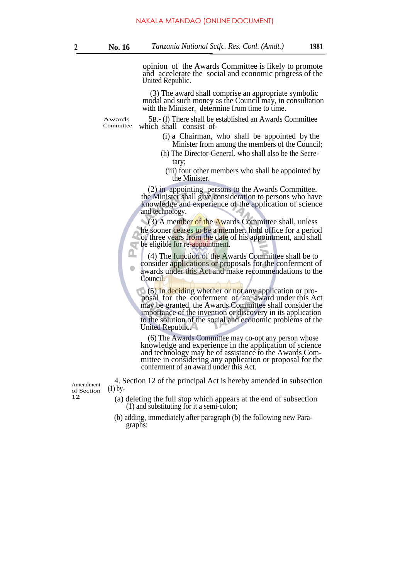opinion of the Awards Committee is likely to promote and accelerate the social and economic progress of the United Republic.

(3) The award shall comprise an appropriate symbolic modal and such money as the Council may, in consultation with the Minister, determine from time to time.

Awards Committee

5B.- (l) There shall be established an Awards Committee which shall consist of-

- (i) a Chairman, who shall be appointed by the Minister from among the members of the Council;
- (h) The Director-General. who shall also be the Secretary;
	- (iii) four other members who shall be appointed by the Minister.

(2) in appointing persons to the Awards Committee. the Minister shall give consideration to persons who have knowledge and experience of the application of science and technology.

(3) A member of the Awards Committee shall, unless he sooner ceases to be a member. hold office for a period of three years from the date of his appointment, and shall be eligible for re-appointment.

(4) The function of the Awards Committee shall be to consider applications or proposals for the conferment of awards under this Act and make recommendations to the Council.

(5) In deciding whether or not any application or proposal for the conferment of an award under this Act may be granted, the Awards Committee shall consider the importance of the invention or discovery in its application to the solution of the social and economic problems of the United Republic.

(6) The Awards Committee may co-opt any person whose knowledge and experience in the application of science and technology may be of assistance to the Awards Committee in considering any application or proposal for the conferment of an award under this Act.

 $4.$  Section 12 of the principal Act is hereby amended in subsection  $(1)$  by-

- (a) deleting the full stop which appears at the end of subsection (1) and substituting for it a semi-colon;
- (b) adding, immediately after paragraph (b) the following new Paragraphs:

of Section 12